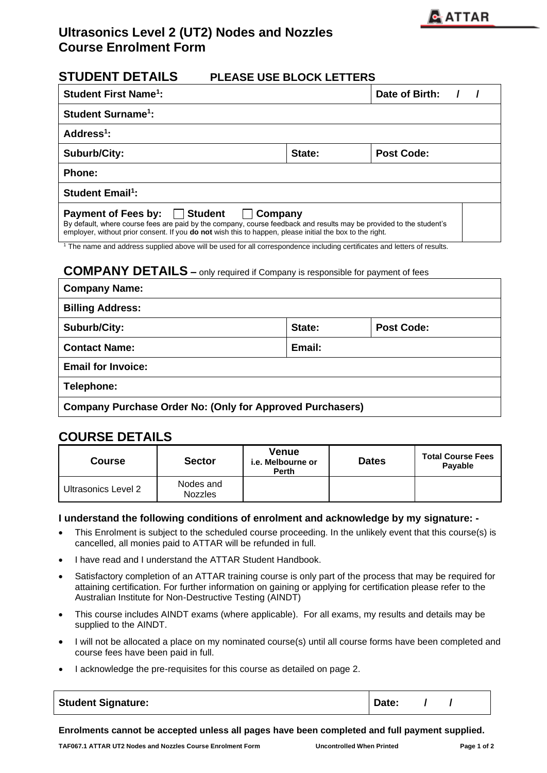

# **Ultrasonics Level 2 (UT2) Nodes and Nozzles Course Enrolment Form**

### **STUDENT DETAILS PLEASE USE BLOCK LETTERS**

| <b>Student First Name<sup>1</sup>:</b>                                                                                                                                                                                                                                                                 | Date of Birth: |            |  |  |  |  |  |  |  |
|--------------------------------------------------------------------------------------------------------------------------------------------------------------------------------------------------------------------------------------------------------------------------------------------------------|----------------|------------|--|--|--|--|--|--|--|
| <b>Student Surname<sup>1</sup>:</b>                                                                                                                                                                                                                                                                    |                |            |  |  |  |  |  |  |  |
| Address $1$ :                                                                                                                                                                                                                                                                                          |                |            |  |  |  |  |  |  |  |
| <b>Suburb/City:</b>                                                                                                                                                                                                                                                                                    | State:         | Post Code: |  |  |  |  |  |  |  |
| <b>Phone:</b>                                                                                                                                                                                                                                                                                          |                |            |  |  |  |  |  |  |  |
| <b>Student Email<sup>1</sup></b> :                                                                                                                                                                                                                                                                     |                |            |  |  |  |  |  |  |  |
| │ Student<br><b>Payment of Fees by:</b><br>Company<br>$\Box$<br>By default, where course fees are paid by the company, course feedback and results may be provided to the student's<br>employer, without prior consent. If you <b>do not</b> wish this to happen, please initial the box to the right. |                |            |  |  |  |  |  |  |  |

<sup>1</sup> The name and address supplied above will be used for all correspondence including certificates and letters of results.

#### **COMPANY DETAILS –** only required if Company is responsible for payment of fees

| <b>Company Name:</b>                                             |        |                   |  |  |  |  |  |  |
|------------------------------------------------------------------|--------|-------------------|--|--|--|--|--|--|
| <b>Billing Address:</b>                                          |        |                   |  |  |  |  |  |  |
| Suburb/City:                                                     | State: | <b>Post Code:</b> |  |  |  |  |  |  |
| Email:<br><b>Contact Name:</b>                                   |        |                   |  |  |  |  |  |  |
| <b>Email for Invoice:</b>                                        |        |                   |  |  |  |  |  |  |
| Telephone:                                                       |        |                   |  |  |  |  |  |  |
| <b>Company Purchase Order No: (Only for Approved Purchasers)</b> |        |                   |  |  |  |  |  |  |

### **COURSE DETAILS**

| <b>Course</b>       | <b>Sector</b>               | <b>Venue</b><br><i>i.e.</i> Melbourne or<br><b>Perth</b> | <b>Dates</b> | <b>Total Course Fees</b><br>Payable |  |  |
|---------------------|-----------------------------|----------------------------------------------------------|--------------|-------------------------------------|--|--|
| Ultrasonics Level 2 | Nodes and<br><b>Nozzles</b> |                                                          |              |                                     |  |  |

#### **I understand the following conditions of enrolment and acknowledge by my signature: -**

- This Enrolment is subject to the scheduled course proceeding. In the unlikely event that this course(s) is cancelled, all monies paid to ATTAR will be refunded in full.
- I have read and I understand the ATTAR Student Handbook.
- Satisfactory completion of an ATTAR training course is only part of the process that may be required for attaining certification. For further information on gaining or applying for certification please refer to the Australian Institute for Non-Destructive Testing (AINDT)
- This course includes AINDT exams (where applicable). For all exams, my results and details may be supplied to the AINDT.
- I will not be allocated a place on my nominated course(s) until all course forms have been completed and course fees have been paid in full.
- I acknowledge the pre-requisites for this course as detailed on page 2.

| <b>Student Signature:</b> | Date: |  |  |
|---------------------------|-------|--|--|
|---------------------------|-------|--|--|

**Enrolments cannot be accepted unless all pages have been completed and full payment supplied.**